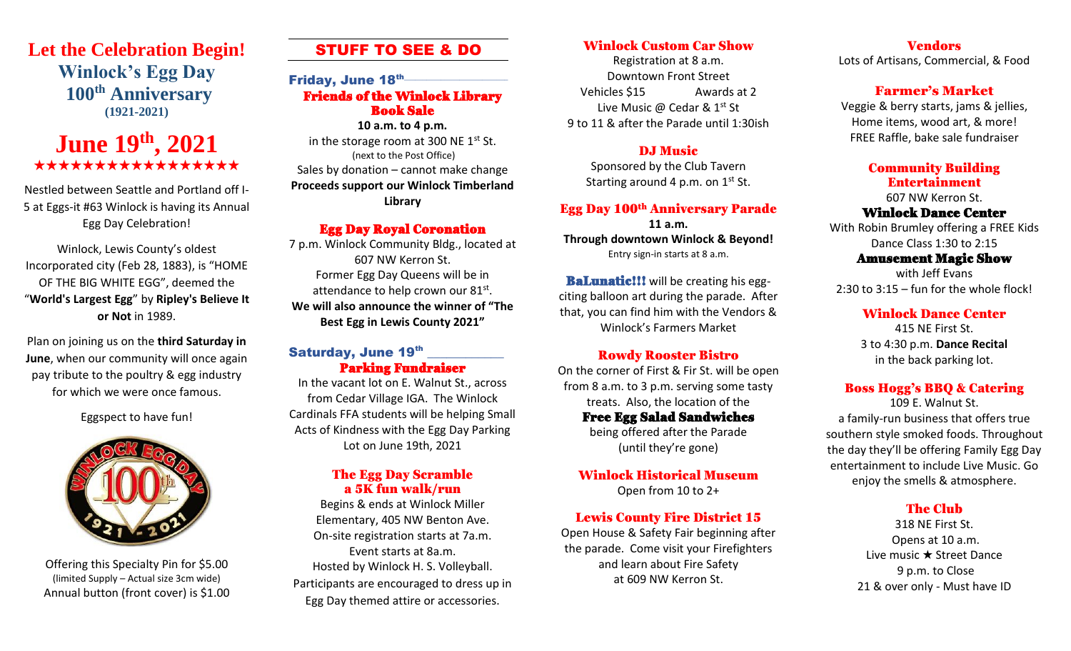# **Let the Celebration Begin! Winlock's Egg Day 100th Anniversary (1921-2021)**

# **June 19th, 2021** \*\*\*\*\*\*\*\*\*\*\*\*\*\*

Nestled between Seattle and Portland off I-5 at Eggs-it #63 Winlock is having its Annual Egg Day Celebration!

Winlock, Lewis County's oldest Incorporated city (Feb 28, 1883), is "HOME OF THE BIG WHITE EGG", deemed the "**World's Largest Egg**" by **Ripley's Believe It or Not** in 1989.

Plan on joining us on the **third Saturday in June**, when our community will once again pay tribute to the poultry & egg industry for which we were once famous.

Eggspect to have fun!



Offering this Specialty Pin for \$5.00 (limited Supply – Actual size 3cm wide) Annual button (front cover) is \$1.00

# STUFF TO SEE & DO

# Friday, June 18<sup>th</sup> Friends of the Winlock Library Book Sale

**10 a.m. to 4 p.m.** in the storage room at 300 NE  $1<sup>st</sup>$  St. (next to the Post Office) Sales by donation – cannot make change **Proceeds support our Winlock Timberland Library**

#### Egg Day Royal Coronation

7 p.m. Winlock Community Bldg., located at 607 NW Kerron St. Former Egg Day Queens will be in attendance to help crown our 81st. **We will also announce the winner of "The Best Egg in Lewis County 2021"** 

#### Saturday, June 19th  $\overline{\phantom{a}}$ Parking Fundraiser

In the vacant lot on E. Walnut St., across from Cedar Village IGA. The Winlock Cardinals FFA students will be helping Small Acts of Kindness with the Egg Day Parking Lot on June 19th, 2021

#### The Egg Day Scramble a 5K fun walk/run

Begins & ends at Winlock Miller Elementary, 405 NW Benton Ave. On-site registration starts at 7a.m. Event starts at 8a.m. Hosted by Winlock H. S. Volleyball. Participants are encouraged to dress up in Egg Day themed attire or accessories.

# Winlock Custom Car Show

Registration at 8 a.m. Downtown Front Street Vehicles \$15 Awards at 2 Live Music @ Cedar & 1st St 9 to 11 & after the Parade until 1:30ish

#### DJ Music

Sponsored by the Club Tavern Starting around 4 p.m. on  $1<sup>st</sup>$  St.

# Egg Day 100th Anniversary Parade

**11 a.m. Through downtown Winlock & Beyond!** Entry sign-in starts at 8 a.m.

**BaLunatic!!!** will be creating his eggciting balloon art during the parade. After that, you can find him with the Vendors & Winlock's Farmers Market

#### Rowdy Rooster Bistro

On the corner of First & Fir St. will be open from 8 a.m. to 3 p.m. serving some tasty treats. Also, the location of the Free Egg Salad Sandwiches being offered after the Parade

(until they're gone)

### Winlock Historical Museum

Open from 10 to 2+

### Lewis County Fire District 15

Open House & Safety Fair beginning after the parade. Come visit your Firefighters and learn about Fire Safety at 609 NW Kerron St.

Vendors Lots of Artisans, Commercial, & Food

# Farmer's Market

Veggie & berry starts, jams & jellies, Home items, wood art, & more! FREE Raffle, bake sale fundraiser

### Community Building Entertainment

607 NW Kerron St.

#### Winlock Dance Center

With Robin Brumley offering a FREE Kids Dance Class 1:30 to 2:15

#### Amusement Magic Show

with Jeff Evans 2:30 to 3:15 – fun for the whole flock!

#### Winlock Dance Center

415 NE First St. 3 to 4:30 p.m. **Dance Recital** in the back parking lot.

### Boss Hogg's BBQ & Catering

109 E. Walnut St. a family-run business that offers true southern style smoked foods. Throughout the day they'll be offering Family Egg Day entertainment to include Live Music. Go enjoy the smells & atmosphere.

#### The Club

318 NE First St. Opens at 10 a.m. Live music  $\star$  Street Dance 9 p.m. to Close 21 & over only - Must have ID